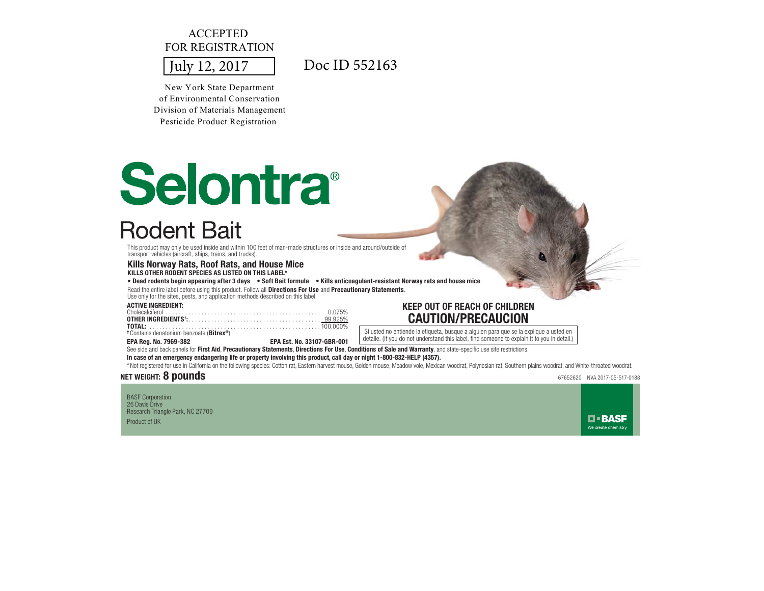# ACCEPTED FOR REGISTRATION

# Doc ID 552163

New York State Departmentof Environmental Conservation Division of Materials ManagementPesticide Product Registration

July 12, 2017

# Selontra®

# **Rodent Bait**

This product may only be used inside and within 100 feet of man-made structures or inside and around/outside of transport vehicles (aircraft, ships, trains, and trucks).

# **Kills Norway Rats, Roof Rats, and House Mice**

**KILLS OTHER RODENT SPECIES AS LISTED ON THIS LABEL\***

**• Dead rodents begin appearing after 3 days • Soft Bait formula • Kills anticoagulant-resistant Norway rats and house mice** Read the entire label before using this product. Follow all **Directions For Use** and **Precautionary Statements**.

Use only for the sites, pests, and application methods described on this label.

#### **ACTIVE INGREDIENT:**

| <sup>†</sup> Contains denatonium benzoate (Bitrex <sup>®</sup> ) |  |
|------------------------------------------------------------------|--|

# **KEEP OUT OF REACH OF CHILDRENCAUTION/PRECAUCION**

Si usted no entiende la etiqueta, busque a alguien para que se la explique a usted en detalle. (If you do not understand this label, find someone to explain it to you in detail.)

See side and back panels for **First Aid**, **Precautionary Statements**, **Directions For Use**, **Conditions of Sale and Warranty**, and state-specific use site restrictions. **In case of an emergency endangering life or property involving this product, call day or night 1-800-832-HELP (4357). EPA Reg. No. 7969-382 EPA Est. No. 33107-GBR-001**

\*Not registered for use in California on the following species: Cotton rat, Eastern harvest mouse, Golden mouse, Meadow vole, Mexican woodrat, Polynesian rat, Southern plains woodrat, and White-throated woodrat.

### **NET WEIGHT: 8 pounds** 67652620 NVA 2017-05-517-0188

| <b>BASF Corporation</b><br>26 Davis Drive<br>Research Triangle Park, NC 27709 |                     |
|-------------------------------------------------------------------------------|---------------------|
|                                                                               |                     |
| Product of UK                                                                 | I ⊡•BASF            |
|                                                                               | We create chemistry |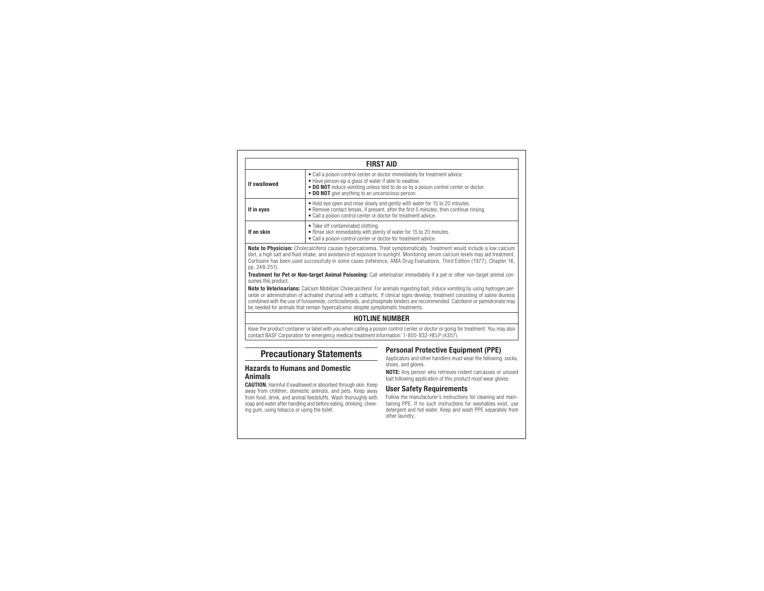|              | <b>FIRST AID</b>                                                                                                                                                                                                                                                                |
|--------------|---------------------------------------------------------------------------------------------------------------------------------------------------------------------------------------------------------------------------------------------------------------------------------|
| If swallowed | • Call a poison control center or doctor immediately for treatment advice.<br>• Have person sip a glass of water if able to swallow.<br>. DO NOT induce vomiting unless told to do so by a poison control center or doctor.<br>• DO NOT give anything to an unconscious person. |
| If in eyes   | . Hold eye open and rinse slowly and gently with water for 15 to 20 minutes.<br>. Remove contact lenses, if present, after the first 5 minutes; then continue rinsing.<br>• Call a poison control center or doctor for treatment advice.                                        |
| If on skin   | • Take off contaminated clothing.<br>. Rinse skin immediately with plenty of water for 15 to 20 minutes.<br>• Call a poison control center or doctor for treatment advice.                                                                                                      |

**Note to Physician:** Cholecalciferol causes hypercalcemia. Treat symptomatically. Treatment would include a low calcium diet, a high salt and fluid intake, and avoidance of exposure to sunlight. Monitoring serum calcium levels may aid treatment.<br>Cortisone has been used successfully in some cases (reference, AMA Drug Evaluations, Third Editi pp. 248-251).

**Treatment for Pet or Non-target Animal Poisoning:** Call veterinarian immediately if a pet or other non-target animal consumes this product.

**Note to Veterinarians:** Calcium Mobilizer Cholecalciferol: For animals ingesting bait, induce vomiting by using hydrogen peroxide or administration of activated charcoal with a cathartic. If clinical signs develop, treatment consisting of saline diuresis combined with the use of furosemide, corticosteroids, and phosphate binders are recommended. Calcitonin or pamidronate may be needed for animals that remain hypercalcemic despite symptomatic treatments.

#### **HOTLINE NUMBER**

Have the product container or label with you when calling a poison control center or doctor or going for treatment. You may also contact BASF Corporation for emergency medical treatment information: 1-800-832-HELP (4357).

#### **Precautionary Statements**

#### **Personal Protective Equipment (PPE)**

Applicators and other handlers must wear the following: socks, shoes, and gloves. **NOTE:** Any person who retrieves rodent carcasses or unused

bait following application of this product must wear gloves.

 **CAUTION.** Harmful if swallowed or absorbed through skin. Keep away from children, domestic animals, and pets. Keep away from food, drink, and animal feedstuffs. Wash thoroughly with soap and water after handling and before eating, drinking, chewing gum, using tobacco or using the toilet.

**Hazards to Humans and Domestic** 

**Animals**

## **User Safety Requirements**

Follow the manufacturer's instructions for cleaning and maintaining PPE. If no such instructions for washables exist, use detergent and hot water. Keep and wash PPE separately from other laundry.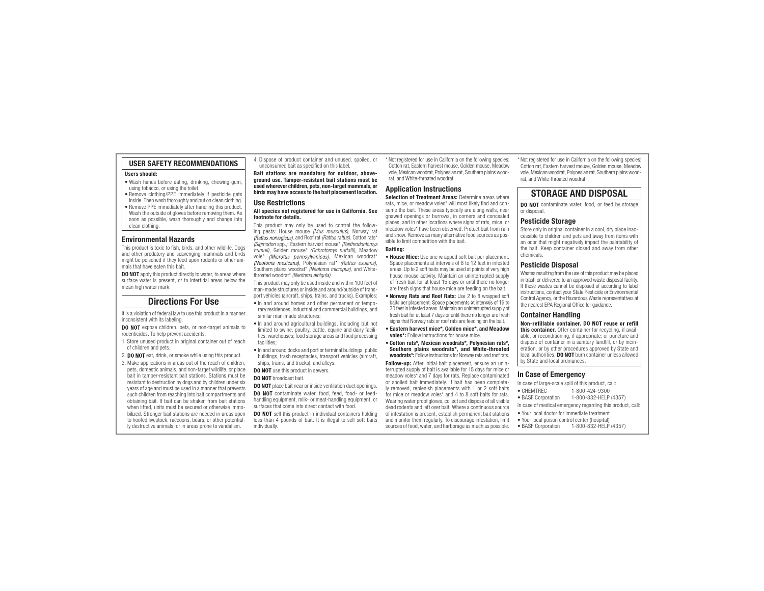#### **USER SAFETY RECOMMENDATIONS**

#### **Users should:**

 • Wash hands before eating, drinking, chewing gum, using tobacco, or using the toilet. **Remove clothing/PPE immediately if nesticide nets** 

inside. Then wash thoroughly and put on clean clothing. • Remove PPE immediately after handling this product. Wash the outside of gloves before removing them. As soon as possible, wash thoroughly and change into clean clothing.

#### **Environmental Hazards**

 This product is toxic to fish, birds, and other wildlife. Dogs and other predatory and scavenging mammals and birds might be poisoned if they feed upon rodents or other animals that have eaten this bait.

**DO NOT** apply this product directly to water, to areas where surface water is present, or to intertidal areas below the mean high water mark.

#### **Directions For Use**

It is a violation of federal law to use this product in a manner inconsistent with its labeling.

DO NOT expose children, pets, or non-target animals to rodenticides. To help prevent accidents:

- 1. Store unused product in original container out of reach of children and pets.
- 2. **DO NOT** eat, drink, or smoke while using this product. 3. Make applications in areas out of the reach of children
- pets, domestic animals, and non-target wildlife, or place bait in tamper-resistant bait stations. Stations must be resistant to destruction by dogs and by children under six years of age and must be used in a manner that prevents such children from reaching into bait compartments and obtaining bait. If bait can be shaken from bait stations when lifted, units must be secured or otherwise immobilized. Stronger bait stations are needed in areas open to hoofed livestock, raccoons, bears, or other potentially destructive animals, or in areas prone to vandalism.

4. Dispose of product container and unused, spoiled, or unconsumed bait as specified on this label.

**Bait stations are mandatory for outdoor, aboveground use. Tamper-resistant bait stations must be used wherever children, pets, non-target mammals, or birds may have access to the bait placement location.**

#### **Use Restrictions**

#### **All species not registered for use in California. See footnote for details.**

This product may only be used to control the following pests: House mouse (Mus musculus), Norway rat (Rattus norvegicus), and Roof rat (Rattus rattus). Cotton rats\* (Sigmodon spp.), Eastern harvest mouse\* (Reithrodontomys humuli), Golden mouse\* (Ochrotomys nuttalli), Meadow vole\* *(Microtus pennsylvanicus)*. Mexican woodrat\* (Neotoma mexicana), Polynesian rat\* (Rattus exulans), Southern plains woodrat<sup>\*</sup> (Neotoma micropus), and Whitethroated woodrat\* (Neotoma albigula).

This product may only be used inside and within 100 feet of man-made structures or inside and around/outside of transport vehicles (aircraft, ships, trains, and trucks). Examples:

- In and around homes and other permanent or tempo-
- rary residences, industrial and commercial buildings, and similar man-made structures; • In and around agricultural buildings, including but not
- limited to swine, poultry, cattle, equine and dairy facilities; warehouses; food storage areas and food processing facilities;
- In and around docks and port or terminal buildings, public buildings, trash receptacles, transport vehicles (aircraft, ships, trains, and trucks), and alleys.
- **DO NOT** use this product in sewers.
- DO NOT broadcast bait.
- **DO NOT** place bait near or inside ventilation duct openings. DO NOT contaminate water, food, feed, food- or feed-
- handling equipment, milk- or meat-handling equipment, or surfaces that come into direct contact with food.
- DO NOT sell this product in individual containers holding less than 4 pounds of bait. It is illegal to sell soft baits individually.

\* Not registered for use in California on the following species: Cotton rat, Eastern harvest mouse, Golden mouse, Meadow vole, Mexican woodrat, Polynesian rat, Southern plains woodrat, and White-throated woodrat.

#### **Application Instructions**

**Selection of Treatment Areas:** Determine areas where rats, mice, or meadow voles\* will most likely find and consume the bait. These areas typically are along walls, near gnawed openings or burrows, in corners and concealed places, and in other locations where signs of rats, mice, or meadow voles\* have been observed. Protect bait from rain and snow. Remove as many alternative food sources as possible to limit competition with the bait.

#### **Baiting:**

- **House Mice:** Use one wrapped soft bait per placement. Space placements at intervals of 8 to 12 feet in infested areas. Up to 2 soft baits may be used at points of very high house mouse activity. Maintain an uninterrupted supply of fresh bait for at least 15 days or until there no longer are fresh signs that house mice are feeding on the bait.
- **Norway Rats and Roof Rats:** Use 2 to 8 wrapped soft 30 feet in infested areas. Maintain an uninterrupted supply of fresh bait for at least 7 days or until there no longer are fresh signs that Norway rats or roof rats are feeding on the bait.
- **Eastern harvest mice\*, Golden mice\*, and Meadow voles\*:** Follow instructions for house mice.

• **Cotton rats\*, Mexican woodrats\*, Polynesian rats\*, Southern plains woodrats\*, and White-throated woodrats\*:** Follow instructions for Norway rats and roof rats.

**Follow-up:** After initial bait placement, ensure an uninterrupted supply of bait is available for 15 days for mice or meadow voles\* and 7 days for rats. Replace contaminated or spoiled bait immediately. If bait has been completely removed, replenish placements with 1 or 2 soft baits for mice or meadow voles<sup>\*</sup> and 4 to 8 soft baits for rats. Wearing water proof gloves, collect and dispose of all visible dead rodents and left over bait. Where a continuous source of infestation is present, establish permanent bait stations and monitor them regularly. To discourage infestation, limit sources of food, water, and harborage as much as possible.

\* Not registered for use in California on the following species: Cotton rat, Eastern harvest mouse, Golden mouse, Meadow vole, Mexican woodrat, Polynesian rat, Southern plains woodrat, and White-throated woodrat.

#### **STORAGE AND DISPOSAL**

**DO NOT** contaminate water, food, or feed by storage or disposal.

#### **Pesticide Storage**

Store only in original container in a cool, dry place inaccessible to children and pets and away from items with an odor that might negatively impact the palatability of the bait. Keep container closed and away from other chemicals.

#### **Pesticide Disposal**

Wastes resulting from the use of this product may be placed in trash or delivered to an approved waste disposal facility. If these wastes cannot be disposed of according to label instructions, contact your State Pesticide or Environmental Control Agency, or the Hazardous Waste representatives at the nearest EPA Regional Office for guidance.

**Container Handling**<br>Non-refillable container. DO NOT reuse or refill **this container.** Offer container for recycling, if available, or reconditioning, if appropriate; or puncture and dispose of container in a sanitary landfill, or by incineration, or by other procedures approved by State and local authorities. DO NOT burn container unless allowed by State and local ordinances.

#### **In Case of Emergency**

In case of large-scale spill of this product, call: • CHEMTREC 1-800-424-9300• BASF Corporation 1-800-832-HELP (4357)

In case of medical emergency regarding this product, call:

• Your local doctor for immediate treatment• Your local poison control center (hospital)

- BASF Corporation 1-800-832-HELP (4357)
-